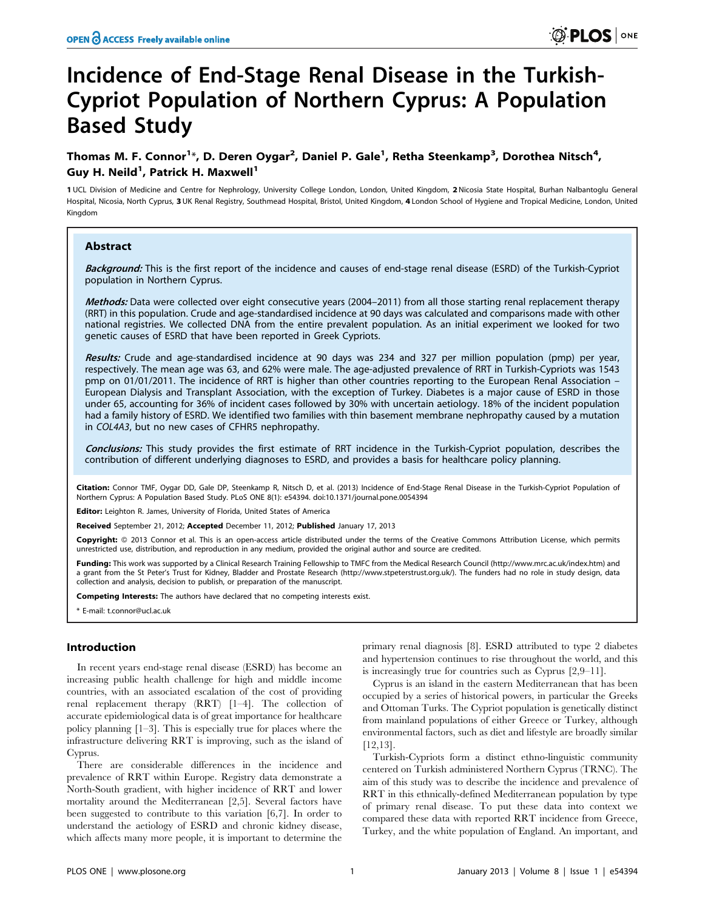# Incidence of End-Stage Renal Disease in the Turkish-Cypriot Population of Northern Cyprus: A Population Based Study

# Thomas M. F. Connor $^{1*}$ , D. Deren Oygar $^{2}$ , Daniel P. Gale $^{1}$ , Retha Steenkamp $^{3}$ , Dorothea Nitsch $^{4}$ , Guy H. Neild<sup>1</sup>, Patrick H. Maxwell<sup>1</sup>

1 UCL Division of Medicine and Centre for Nephrology, University College London, London, United Kingdom, 2 Nicosia State Hospital, Burhan Nalbantoglu General Hospital, Nicosia, North Cyprus, 3 UK Renal Registry, Southmead Hospital, Bristol, United Kingdom, 4 London School of Hygiene and Tropical Medicine, London, United Kingdom

# Abstract

Background: This is the first report of the incidence and causes of end-stage renal disease (ESRD) of the Turkish-Cypriot population in Northern Cyprus.

Methods: Data were collected over eight consecutive years (2004–2011) from all those starting renal replacement therapy (RRT) in this population. Crude and age-standardised incidence at 90 days was calculated and comparisons made with other national registries. We collected DNA from the entire prevalent population. As an initial experiment we looked for two genetic causes of ESRD that have been reported in Greek Cypriots.

Results: Crude and age-standardised incidence at 90 days was 234 and 327 per million population (pmp) per year, respectively. The mean age was 63, and 62% were male. The age-adjusted prevalence of RRT in Turkish-Cypriots was 1543 pmp on 01/01/2011. The incidence of RRT is higher than other countries reporting to the European Renal Association – European Dialysis and Transplant Association, with the exception of Turkey. Diabetes is a major cause of ESRD in those under 65, accounting for 36% of incident cases followed by 30% with uncertain aetiology. 18% of the incident population had a family history of ESRD. We identified two families with thin basement membrane nephropathy caused by a mutation in COL4A3, but no new cases of CFHR5 nephropathy.

Conclusions: This study provides the first estimate of RRT incidence in the Turkish-Cypriot population, describes the contribution of different underlying diagnoses to ESRD, and provides a basis for healthcare policy planning.

Citation: Connor TMF, Oygar DD, Gale DP, Steenkamp R, Nitsch D, et al. (2013) Incidence of End-Stage Renal Disease in the Turkish-Cypriot Population of Northern Cyprus: A Population Based Study. PLoS ONE 8(1): e54394. doi:10.1371/journal.pone.0054394

Editor: Leighton R. James, University of Florida, United States of America

Received September 21, 2012; Accepted December 11, 2012; Published January 17, 2013

**Copyright:** © 2013 Connor et al. This is an open-access article distributed under the terms of the Creative Commons Attribution License, which permits unrestricted use, distribution, and reproduction in any medium, provided the original author and source are credited.

Funding: This work was supported by a Clinical Research Training Fellowship to TMFC from the Medical Research Council (http://www.mrc.ac.uk/index.htm) and a grant from the St Peter's Trust for Kidney, Bladder and Prostate Research (http://www.stpeterstrust.org.uk/). The funders had no role in study design, data collection and analysis, decision to publish, or preparation of the manuscript.

Competing Interests: The authors have declared that no competing interests exist.

\* E-mail: t.connor@ucl.ac.uk

# Introduction

In recent years end-stage renal disease (ESRD) has become an increasing public health challenge for high and middle income countries, with an associated escalation of the cost of providing renal replacement therapy (RRT) [1–4]. The collection of accurate epidemiological data is of great importance for healthcare policy planning [1–3]. This is especially true for places where the infrastructure delivering RRT is improving, such as the island of Cyprus.

There are considerable differences in the incidence and prevalence of RRT within Europe. Registry data demonstrate a North-South gradient, with higher incidence of RRT and lower mortality around the Mediterranean [2,5]. Several factors have been suggested to contribute to this variation [6,7]. In order to understand the aetiology of ESRD and chronic kidney disease, which affects many more people, it is important to determine the

primary renal diagnosis [8]. ESRD attributed to type 2 diabetes and hypertension continues to rise throughout the world, and this is increasingly true for countries such as Cyprus [2,9–11].

Cyprus is an island in the eastern Mediterranean that has been occupied by a series of historical powers, in particular the Greeks and Ottoman Turks. The Cypriot population is genetically distinct from mainland populations of either Greece or Turkey, although environmental factors, such as diet and lifestyle are broadly similar [12,13].

Turkish-Cypriots form a distinct ethno-linguistic community centered on Turkish administered Northern Cyprus (TRNC). The aim of this study was to describe the incidence and prevalence of RRT in this ethnically-defined Mediterranean population by type of primary renal disease. To put these data into context we compared these data with reported RRT incidence from Greece, Turkey, and the white population of England. An important, and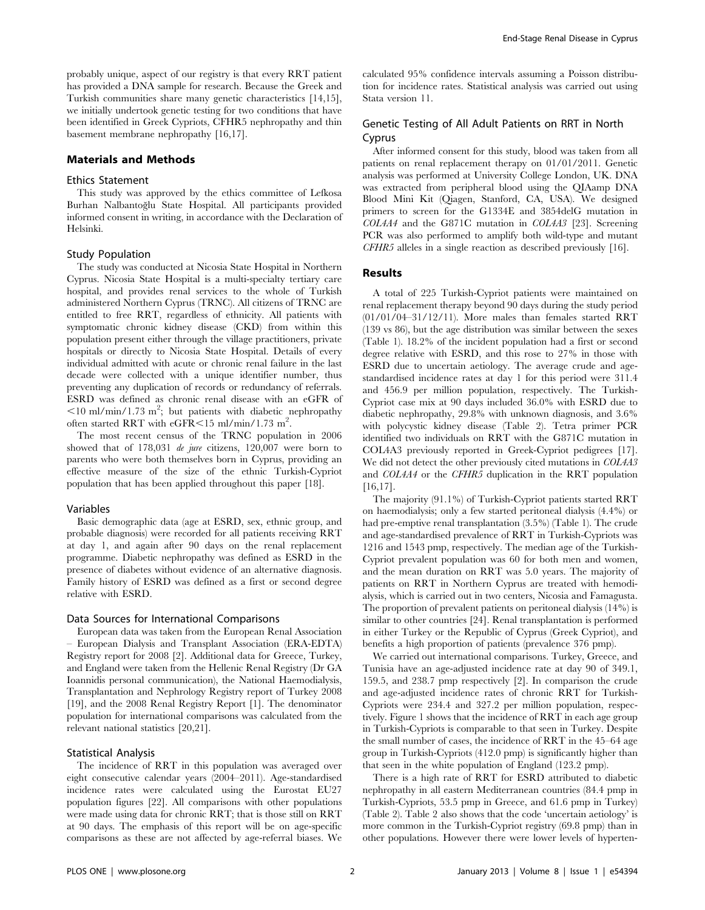probably unique, aspect of our registry is that every RRT patient has provided a DNA sample for research. Because the Greek and Turkish communities share many genetic characteristics [14,15], we initially undertook genetic testing for two conditions that have been identified in Greek Cypriots, CFHR5 nephropathy and thin basement membrane nephropathy [16,17].

# Materials and Methods

# Ethics Statement

This study was approved by the ethics committee of Lefkosa Burhan Nalbantoğlu State Hospital. All participants provided informed consent in writing, in accordance with the Declaration of Helsinki.

#### Study Population

The study was conducted at Nicosia State Hospital in Northern Cyprus. Nicosia State Hospital is a multi-specialty tertiary care hospital, and provides renal services to the whole of Turkish administered Northern Cyprus (TRNC). All citizens of TRNC are entitled to free RRT, regardless of ethnicity. All patients with symptomatic chronic kidney disease (CKD) from within this population present either through the village practitioners, private hospitals or directly to Nicosia State Hospital. Details of every individual admitted with acute or chronic renal failure in the last decade were collected with a unique identifier number, thus preventing any duplication of records or redundancy of referrals. ESRD was defined as chronic renal disease with an eGFR of  $<$ 10 ml/min/1.73 m<sup>2</sup>; but patients with diabetic nephropathy often started RRT with  $e$ GFR $\leq$ 15 ml/min/1.73 m<sup>2</sup>.

The most recent census of the TRNC population in 2006 showed that of 178,031 *de jure* citizens, 120,007 were born to parents who were both themselves born in Cyprus, providing an effective measure of the size of the ethnic Turkish-Cypriot population that has been applied throughout this paper [18].

#### Variables

Basic demographic data (age at ESRD, sex, ethnic group, and probable diagnosis) were recorded for all patients receiving RRT at day 1, and again after 90 days on the renal replacement programme. Diabetic nephropathy was defined as ESRD in the presence of diabetes without evidence of an alternative diagnosis. Family history of ESRD was defined as a first or second degree relative with ESRD.

#### Data Sources for International Comparisons

European data was taken from the European Renal Association – European Dialysis and Transplant Association (ERA-EDTA) Registry report for 2008 [2]. Additional data for Greece, Turkey, and England were taken from the Hellenic Renal Registry (Dr GA Ioannidis personal communication), the National Haemodialysis, Transplantation and Nephrology Registry report of Turkey 2008 [19], and the 2008 Renal Registry Report [1]. The denominator population for international comparisons was calculated from the relevant national statistics [20,21].

#### Statistical Analysis

The incidence of RRT in this population was averaged over eight consecutive calendar years (2004–2011). Age-standardised incidence rates were calculated using the Eurostat EU27 population figures [22]. All comparisons with other populations were made using data for chronic RRT; that is those still on RRT at 90 days. The emphasis of this report will be on age-specific comparisons as these are not affected by age-referral biases. We

calculated 95% confidence intervals assuming a Poisson distribution for incidence rates. Statistical analysis was carried out using Stata version 11.

# Genetic Testing of All Adult Patients on RRT in North Cyprus

After informed consent for this study, blood was taken from all patients on renal replacement therapy on 01/01/2011. Genetic analysis was performed at University College London, UK. DNA was extracted from peripheral blood using the QIAamp DNA Blood Mini Kit (Qiagen, Stanford, CA, USA). We designed primers to screen for the G1334E and 3854delG mutation in COL4A4 and the G871C mutation in COL4A3 [23]. Screening PCR was also performed to amplify both wild-type and mutant CFHR5 alleles in a single reaction as described previously [16].

# Results

A total of 225 Turkish-Cypriot patients were maintained on renal replacement therapy beyond 90 days during the study period (01/01/04–31/12/11). More males than females started RRT (139 vs 86), but the age distribution was similar between the sexes (Table 1). 18.2% of the incident population had a first or second degree relative with ESRD, and this rose to 27% in those with ESRD due to uncertain aetiology. The average crude and agestandardised incidence rates at day 1 for this period were 311.4 and 456.9 per million population, respectively. The Turkish-Cypriot case mix at 90 days included 36.0% with ESRD due to diabetic nephropathy, 29.8% with unknown diagnosis, and 3.6% with polycystic kidney disease (Table 2). Tetra primer PCR identified two individuals on RRT with the G871C mutation in COL4A3 previously reported in Greek-Cypriot pedigrees [17]. We did not detect the other previously cited mutations in COL4A3 and COL4A4 or the CFHR5 duplication in the RRT population [16,17].

The majority (91.1%) of Turkish-Cypriot patients started RRT on haemodialysis; only a few started peritoneal dialysis (4.4%) or had pre-emptive renal transplantation (3.5%) (Table 1). The crude and age-standardised prevalence of RRT in Turkish-Cypriots was 1216 and 1543 pmp, respectively. The median age of the Turkish-Cypriot prevalent population was 60 for both men and women, and the mean duration on RRT was 5.0 years. The majority of patients on RRT in Northern Cyprus are treated with hemodialysis, which is carried out in two centers, Nicosia and Famagusta. The proportion of prevalent patients on peritoneal dialysis (14%) is similar to other countries [24]. Renal transplantation is performed in either Turkey or the Republic of Cyprus (Greek Cypriot), and benefits a high proportion of patients (prevalence 376 pmp).

We carried out international comparisons. Turkey, Greece, and Tunisia have an age-adjusted incidence rate at day 90 of 349.1, 159.5, and 238.7 pmp respectively [2]. In comparison the crude and age-adjusted incidence rates of chronic RRT for Turkish-Cypriots were 234.4 and 327.2 per million population, respectively. Figure 1 shows that the incidence of RRT in each age group in Turkish-Cypriots is comparable to that seen in Turkey. Despite the small number of cases, the incidence of RRT in the 45–64 age group in Turkish-Cypriots (412.0 pmp) is significantly higher than that seen in the white population of England (123.2 pmp).

There is a high rate of RRT for ESRD attributed to diabetic nephropathy in all eastern Mediterranean countries (84.4 pmp in Turkish-Cypriots, 53.5 pmp in Greece, and 61.6 pmp in Turkey) (Table 2). Table 2 also shows that the code 'uncertain aetiology' is more common in the Turkish-Cypriot registry (69.8 pmp) than in other populations. However there were lower levels of hyperten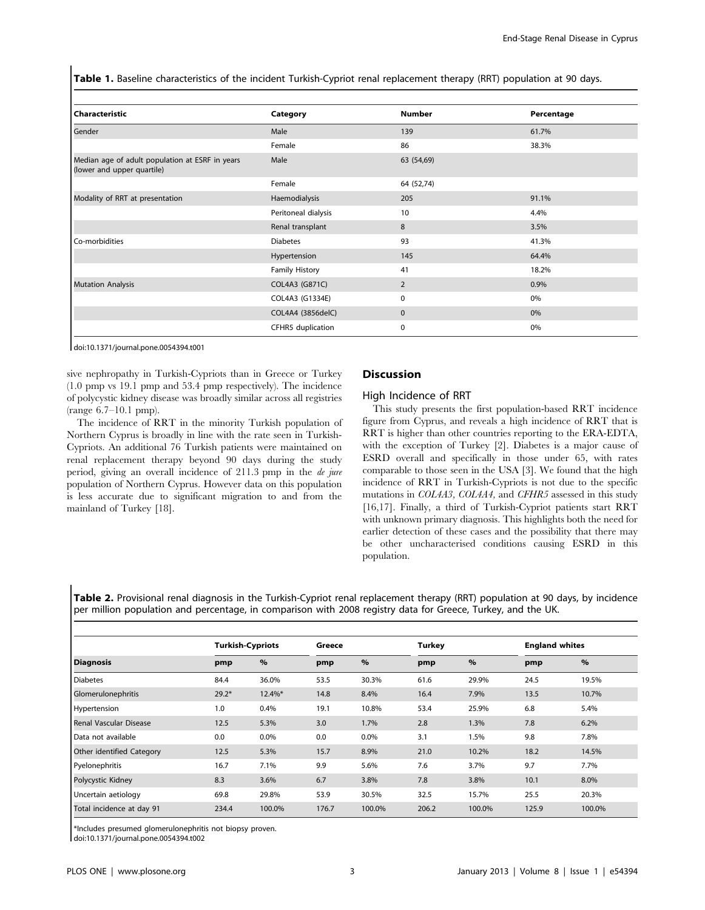Table 1. Baseline characteristics of the incident Turkish-Cypriot renal replacement therapy (RRT) population at 90 days.

| Category              | <b>Number</b> | Percentage |
|-----------------------|---------------|------------|
| Male                  | 139           | 61.7%      |
| Female                | 86            | 38.3%      |
| Male                  | 63 (54,69)    |            |
| Female                | 64 (52,74)    |            |
| Haemodialysis         | 205           | 91.1%      |
| Peritoneal dialysis   | 10            | 4.4%       |
| Renal transplant      | 8             | 3.5%       |
| <b>Diabetes</b>       | 93            | 41.3%      |
| Hypertension          | 145           | 64.4%      |
| <b>Family History</b> | 41            | 18.2%      |
| COL4A3 (G871C)        | 2             | 0.9%       |
| COL4A3 (G1334E)       | 0             | 0%         |
| COL4A4 (3856delC)     | $\mathbf 0$   | 0%         |
| CFHR5 duplication     | $\mathbf 0$   | 0%         |
|                       |               |            |

doi:10.1371/journal.pone.0054394.t001

sive nephropathy in Turkish-Cypriots than in Greece or Turkey (1.0 pmp vs 19.1 pmp and 53.4 pmp respectively). The incidence of polycystic kidney disease was broadly similar across all registries (range 6.7–10.1 pmp).

The incidence of RRT in the minority Turkish population of Northern Cyprus is broadly in line with the rate seen in Turkish-Cypriots. An additional 76 Turkish patients were maintained on renal replacement therapy beyond 90 days during the study period, giving an overall incidence of 211.3 pmp in the de jure population of Northern Cyprus. However data on this population is less accurate due to significant migration to and from the mainland of Turkey [18].

#### Discussion

#### High Incidence of RRT

This study presents the first population-based RRT incidence figure from Cyprus, and reveals a high incidence of RRT that is RRT is higher than other countries reporting to the ERA-EDTA, with the exception of Turkey [2]. Diabetes is a major cause of ESRD overall and specifically in those under 65, with rates comparable to those seen in the USA [3]. We found that the high incidence of RRT in Turkish-Cypriots is not due to the specific mutations in COL4A3, COL4A4, and CFHR5 assessed in this study [16,17]. Finally, a third of Turkish-Cypriot patients start RRT with unknown primary diagnosis. This highlights both the need for earlier detection of these cases and the possibility that there may be other uncharacterised conditions causing ESRD in this population.

Table 2. Provisional renal diagnosis in the Turkish-Cypriot renal replacement therapy (RRT) population at 90 days, by incidence per million population and percentage, in comparison with 2008 registry data for Greece, Turkey, and the UK.

| <b>Diagnosis</b>          |         | <b>Turkish-Cypriots</b> |       | Greece  |       | <b>Turkey</b> |       | <b>England whites</b> |  |
|---------------------------|---------|-------------------------|-------|---------|-------|---------------|-------|-----------------------|--|
|                           | pmp     | $\%$                    | pmp   | $\%$    | pmp   | $\%$          | pmp   | $\%$                  |  |
| <b>Diabetes</b>           | 84.4    | 36.0%                   | 53.5  | 30.3%   | 61.6  | 29.9%         | 24.5  | 19.5%                 |  |
| Glomerulonephritis        | $29.2*$ | $12.4\%$ *              | 14.8  | 8.4%    | 16.4  | 7.9%          | 13.5  | 10.7%                 |  |
| Hypertension              | 1.0     | 0.4%                    | 19.1  | 10.8%   | 53.4  | 25.9%         | 6.8   | 5.4%                  |  |
| Renal Vascular Disease    | 12.5    | 5.3%                    | 3.0   | 1.7%    | 2.8   | 1.3%          | 7.8   | 6.2%                  |  |
| l Data not available      | 0.0     | 0.0%                    | 0.0   | $0.0\%$ | 3.1   | 1.5%          | 9.8   | 7.8%                  |  |
| Other identified Category | 12.5    | 5.3%                    | 15.7  | 8.9%    | 21.0  | 10.2%         | 18.2  | 14.5%                 |  |
| Pyelonephritis            | 16.7    | 7.1%                    | 9.9   | 5.6%    | 7.6   | 3.7%          | 9.7   | 7.7%                  |  |
| Polycystic Kidney         | 8.3     | 3.6%                    | 6.7   | 3.8%    | 7.8   | 3.8%          | 10.1  | 8.0%                  |  |
| Uncertain aetiology       | 69.8    | 29.8%                   | 53.9  | 30.5%   | 32.5  | 15.7%         | 25.5  | 20.3%                 |  |
| Total incidence at day 91 | 234.4   | 100.0%                  | 176.7 | 100.0%  | 206.2 | 100.0%        | 125.9 | 100.0%                |  |

\*Includes presumed glomerulonephritis not biopsy proven.

doi:10.1371/journal.pone.0054394.t002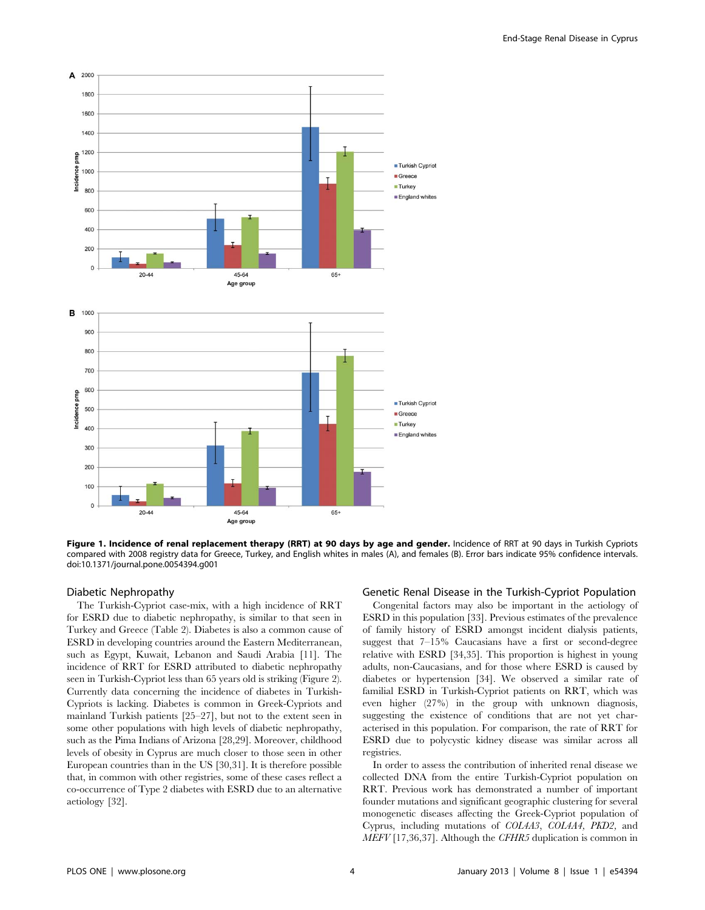

Figure 1. Incidence of renal replacement therapy (RRT) at 90 days by age and gender. Incidence of RRT at 90 days in Turkish Cypriots compared with 2008 registry data for Greece, Turkey, and English whites in males (A), and females (B). Error bars indicate 95% confidence intervals. doi:10.1371/journal.pone.0054394.g001

#### Diabetic Nephropathy

The Turkish-Cypriot case-mix, with a high incidence of RRT for ESRD due to diabetic nephropathy, is similar to that seen in Turkey and Greece (Table 2). Diabetes is also a common cause of ESRD in developing countries around the Eastern Mediterranean, such as Egypt, Kuwait, Lebanon and Saudi Arabia [11]. The incidence of RRT for ESRD attributed to diabetic nephropathy seen in Turkish-Cypriot less than 65 years old is striking (Figure 2). Currently data concerning the incidence of diabetes in Turkish-Cypriots is lacking. Diabetes is common in Greek-Cypriots and mainland Turkish patients [25–27], but not to the extent seen in some other populations with high levels of diabetic nephropathy, such as the Pima Indians of Arizona [28,29]. Moreover, childhood levels of obesity in Cyprus are much closer to those seen in other European countries than in the US [30,31]. It is therefore possible that, in common with other registries, some of these cases reflect a co-occurrence of Type 2 diabetes with ESRD due to an alternative aetiology [32].

## Genetic Renal Disease in the Turkish-Cypriot Population

Congenital factors may also be important in the aetiology of ESRD in this population [33]. Previous estimates of the prevalence of family history of ESRD amongst incident dialysis patients, suggest that 7–15% Caucasians have a first or second-degree relative with ESRD [34,35]. This proportion is highest in young adults, non-Caucasians, and for those where ESRD is caused by diabetes or hypertension [34]. We observed a similar rate of familial ESRD in Turkish-Cypriot patients on RRT, which was even higher (27%) in the group with unknown diagnosis, suggesting the existence of conditions that are not yet characterised in this population. For comparison, the rate of RRT for ESRD due to polycystic kidney disease was similar across all registries.

In order to assess the contribution of inherited renal disease we collected DNA from the entire Turkish-Cypriot population on RRT. Previous work has demonstrated a number of important founder mutations and significant geographic clustering for several monogenetic diseases affecting the Greek-Cypriot population of Cyprus, including mutations of COL4A3, COL4A4, PKD2, and MEFV [17,36,37]. Although the CFHR5 duplication is common in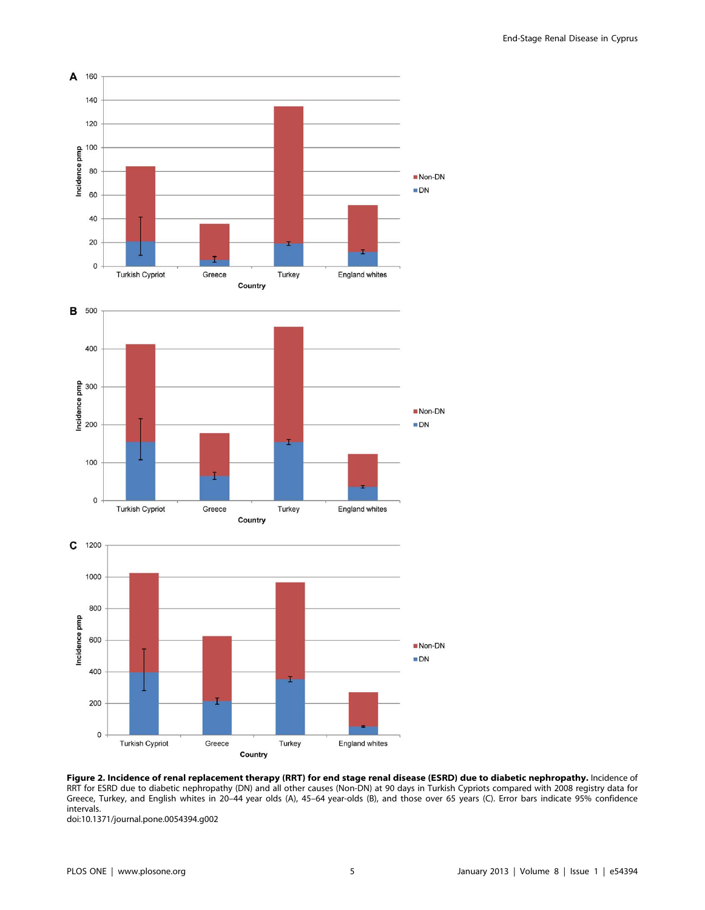

Figure 2. Incidence of renal replacement therapy (RRT) for end stage renal disease (ESRD) due to diabetic nephropathy. Incidence of RRT for ESRD due to diabetic nephropathy (DN) and all other causes (Non-DN) at 90 days in Turkish Cypriots compared with 2008 registry data for Greece, Turkey, and English whites in 20–44 year olds (A), 45–64 year-olds (B), and those over 65 years (C). Error bars indicate 95% confidence intervals.

doi:10.1371/journal.pone.0054394.g002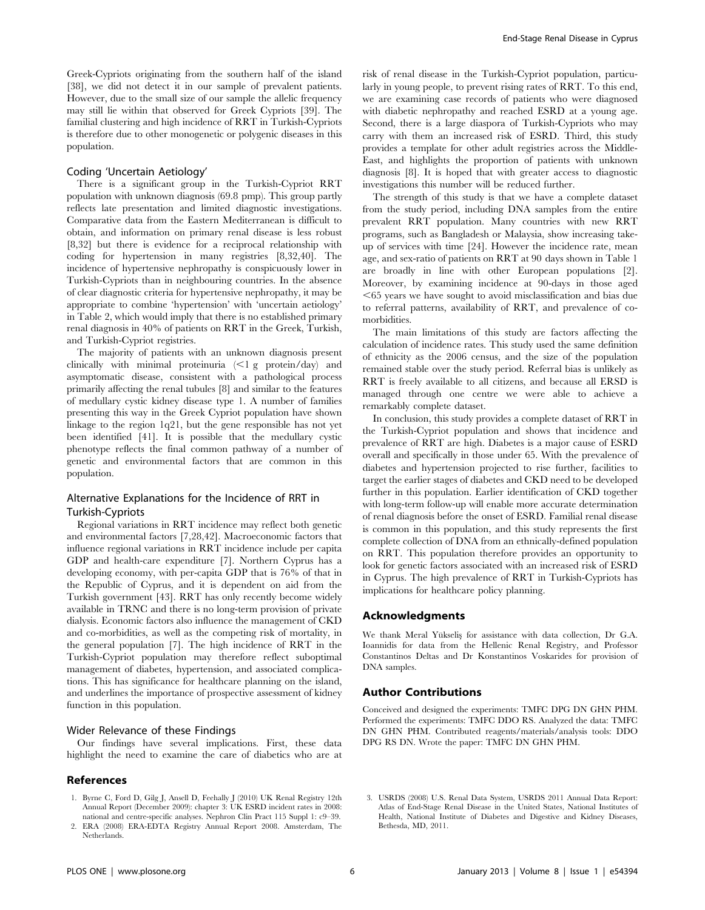Greek-Cypriots originating from the southern half of the island [38], we did not detect it in our sample of prevalent patients. However, due to the small size of our sample the allelic frequency may still lie within that observed for Greek Cypriots [39]. The familial clustering and high incidence of RRT in Turkish-Cypriots is therefore due to other monogenetic or polygenic diseases in this population.

#### Coding 'Uncertain Aetiology'

There is a significant group in the Turkish-Cypriot RRT population with unknown diagnosis (69.8 pmp). This group partly reflects late presentation and limited diagnostic investigations. Comparative data from the Eastern Mediterranean is difficult to obtain, and information on primary renal disease is less robust [8,32] but there is evidence for a reciprocal relationship with coding for hypertension in many registries [8,32,40]. The incidence of hypertensive nephropathy is conspicuously lower in Turkish-Cypriots than in neighbouring countries. In the absence of clear diagnostic criteria for hypertensive nephropathy, it may be appropriate to combine 'hypertension' with 'uncertain aetiology' in Table 2, which would imply that there is no established primary renal diagnosis in 40% of patients on RRT in the Greek, Turkish, and Turkish-Cypriot registries.

The majority of patients with an unknown diagnosis present clinically with minimal proteinuria  $\langle \leq 1 \text{ g}$  protein/day) and asymptomatic disease, consistent with a pathological process primarily affecting the renal tubules [8] and similar to the features of medullary cystic kidney disease type 1. A number of families presenting this way in the Greek Cypriot population have shown linkage to the region 1q21, but the gene responsible has not yet been identified [41]. It is possible that the medullary cystic phenotype reflects the final common pathway of a number of genetic and environmental factors that are common in this population.

# Alternative Explanations for the Incidence of RRT in Turkish-Cypriots

Regional variations in RRT incidence may reflect both genetic and environmental factors [7,28,42]. Macroeconomic factors that influence regional variations in RRT incidence include per capita GDP and health-care expenditure [7]. Northern Cyprus has a developing economy, with per-capita GDP that is 76% of that in the Republic of Cyprus, and it is dependent on aid from the Turkish government [43]. RRT has only recently become widely available in TRNC and there is no long-term provision of private dialysis. Economic factors also influence the management of CKD and co-morbidities, as well as the competing risk of mortality, in the general population [7]. The high incidence of RRT in the Turkish-Cypriot population may therefore reflect suboptimal management of diabetes, hypertension, and associated complications. This has significance for healthcare planning on the island, and underlines the importance of prospective assessment of kidney function in this population.

#### Wider Relevance of these Findings

Our findings have several implications. First, these data highlight the need to examine the care of diabetics who are at

# References

1. Byrne C, Ford D, Gilg J, Ansell D, Feehally J (2010) UK Renal Registry 12th Annual Report (December 2009): chapter 3: UK ESRD incident rates in 2008:

End-Stage Renal Disease in Cyprus

risk of renal disease in the Turkish-Cypriot population, particularly in young people, to prevent rising rates of RRT. To this end, we are examining case records of patients who were diagnosed with diabetic nephropathy and reached ESRD at a young age. Second, there is a large diaspora of Turkish-Cypriots who may carry with them an increased risk of ESRD. Third, this study provides a template for other adult registries across the Middle-East, and highlights the proportion of patients with unknown diagnosis [8]. It is hoped that with greater access to diagnostic investigations this number will be reduced further.

The strength of this study is that we have a complete dataset from the study period, including DNA samples from the entire prevalent RRT population. Many countries with new RRT programs, such as Bangladesh or Malaysia, show increasing takeup of services with time [24]. However the incidence rate, mean age, and sex-ratio of patients on RRT at 90 days shown in Table 1 are broadly in line with other European populations [2]. Moreover, by examining incidence at 90-days in those aged  $<$  65 years we have sought to avoid misclassification and bias due to referral patterns, availability of RRT, and prevalence of comorbidities.

The main limitations of this study are factors affecting the calculation of incidence rates. This study used the same definition of ethnicity as the 2006 census, and the size of the population remained stable over the study period. Referral bias is unlikely as RRT is freely available to all citizens, and because all ERSD is managed through one centre we were able to achieve a remarkably complete dataset.

In conclusion, this study provides a complete dataset of RRT in the Turkish-Cypriot population and shows that incidence and prevalence of RRT are high. Diabetes is a major cause of ESRD overall and specifically in those under 65. With the prevalence of diabetes and hypertension projected to rise further, facilities to target the earlier stages of diabetes and CKD need to be developed further in this population. Earlier identification of CKD together with long-term follow-up will enable more accurate determination of renal diagnosis before the onset of ESRD. Familial renal disease is common in this population, and this study represents the first complete collection of DNA from an ethnically-defined population on RRT. This population therefore provides an opportunity to look for genetic factors associated with an increased risk of ESRD in Cyprus. The high prevalence of RRT in Turkish-Cypriots has implications for healthcare policy planning.

# Acknowledgments

We thank Meral Yükseliş for assistance with data collection, Dr G.A. Ioannidis for data from the Hellenic Renal Registry, and Professor Constantinos Deltas and Dr Konstantinos Voskarides for provision of DNA samples.

# Author Contributions

Conceived and designed the experiments: TMFC DPG DN GHN PHM. Performed the experiments: TMFC DDO RS. Analyzed the data: TMFC DN GHN PHM. Contributed reagents/materials/analysis tools: DDO DPG RS DN. Wrote the paper: TMFC DN GHN PHM.

- national and centre-specific analyses. Nephron Clin Pract 115 Suppl 1: c9–39. 2. ERA (2008) ERA-EDTA Registry Annual Report 2008. Amsterdam, The Netherlands.
- 3. USRDS (2008) U.S. Renal Data System, USRDS 2011 Annual Data Report: Atlas of End-Stage Renal Disease in the United States, National Institutes of Health, National Institute of Diabetes and Digestive and Kidney Diseases, Bethesda, MD, 2011.